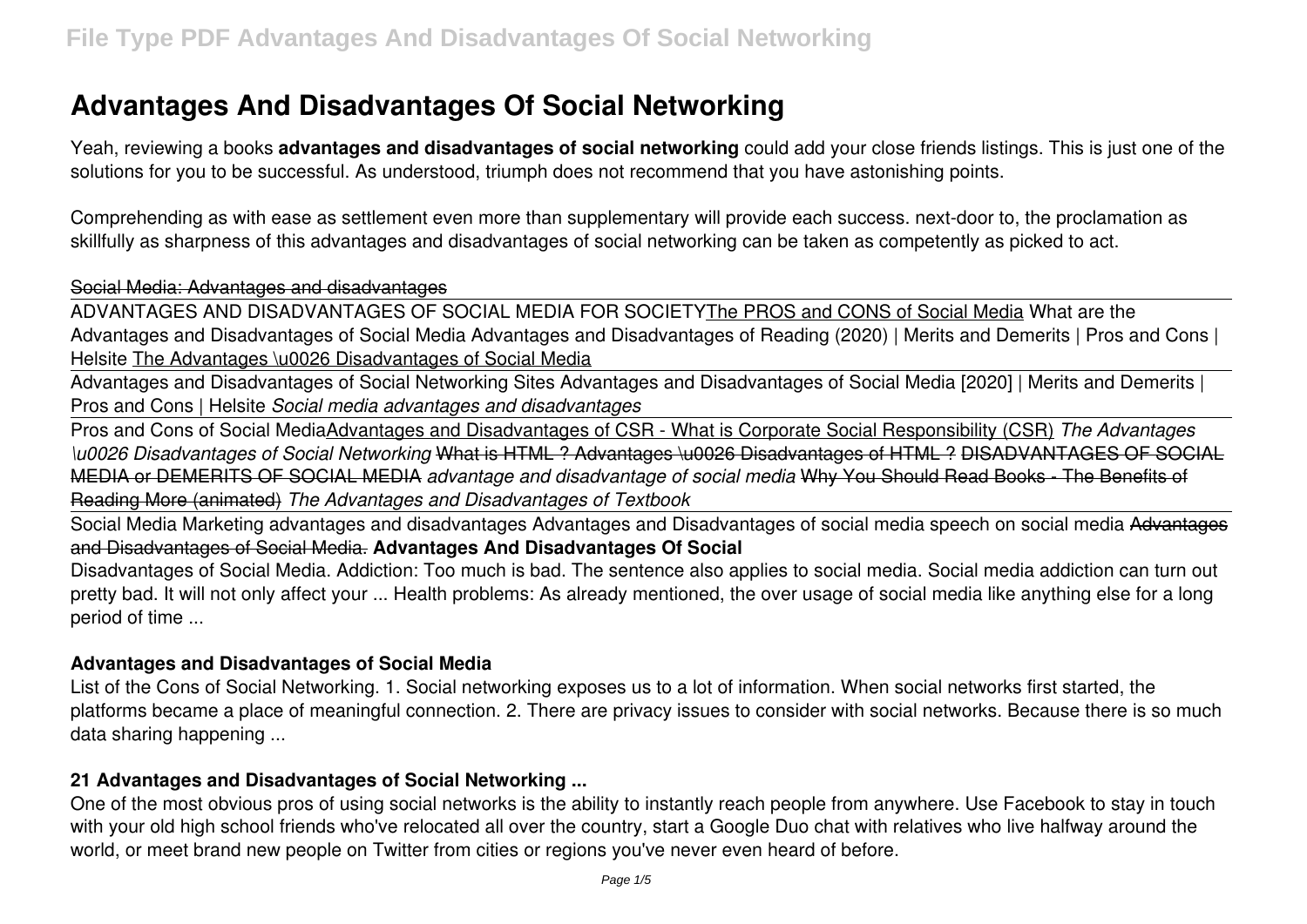# **Advantages And Disadvantages Of Social Networking**

Yeah, reviewing a books **advantages and disadvantages of social networking** could add your close friends listings. This is just one of the solutions for you to be successful. As understood, triumph does not recommend that you have astonishing points.

Comprehending as with ease as settlement even more than supplementary will provide each success. next-door to, the proclamation as skillfully as sharpness of this advantages and disadvantages of social networking can be taken as competently as picked to act.

#### Social Media: Advantages and disadvantages

ADVANTAGES AND DISADVANTAGES OF SOCIAL MEDIA FOR SOCIETYThe PROS and CONS of Social Media What are the Advantages and Disadvantages of Social Media Advantages and Disadvantages of Reading (2020) | Merits and Demerits | Pros and Cons | Helsite The Advantages \u0026 Disadvantages of Social Media

Advantages and Disadvantages of Social Networking Sites Advantages and Disadvantages of Social Media [2020] | Merits and Demerits | Pros and Cons | Helsite *Social media advantages and disadvantages*

Pros and Cons of Social MediaAdvantages and Disadvantages of CSR - What is Corporate Social Responsibility (CSR) *The Advantages \u0026 Disadvantages of Social Networking* What is HTML ? Advantages \u0026 Disadvantages of HTML ? DISADVANTAGES OF SOCIAL MEDIA or DEMERITS OF SOCIAL MEDIA *advantage and disadvantage of social media* Why You Should Read Books - The Benefits of Reading More (animated) *The Advantages and Disadvantages of Textbook*

Social Media Marketing advantages and disadvantages Advantages and Disadvantages of social media speech on social media Advantages and Disadvantages of Social Media. **Advantages And Disadvantages Of Social**

Disadvantages of Social Media. Addiction: Too much is bad. The sentence also applies to social media. Social media addiction can turn out pretty bad. It will not only affect your ... Health problems: As already mentioned, the over usage of social media like anything else for a long period of time ...

#### **Advantages and Disadvantages of Social Media**

List of the Cons of Social Networking. 1. Social networking exposes us to a lot of information. When social networks first started, the platforms became a place of meaningful connection. 2. There are privacy issues to consider with social networks. Because there is so much data sharing happening ...

# **21 Advantages and Disadvantages of Social Networking ...**

One of the most obvious pros of using social networks is the ability to instantly reach people from anywhere. Use Facebook to stay in touch with your old high school friends who've relocated all over the country, start a Google Duo chat with relatives who live halfway around the world, or meet brand new people on Twitter from cities or regions you've never even heard of before.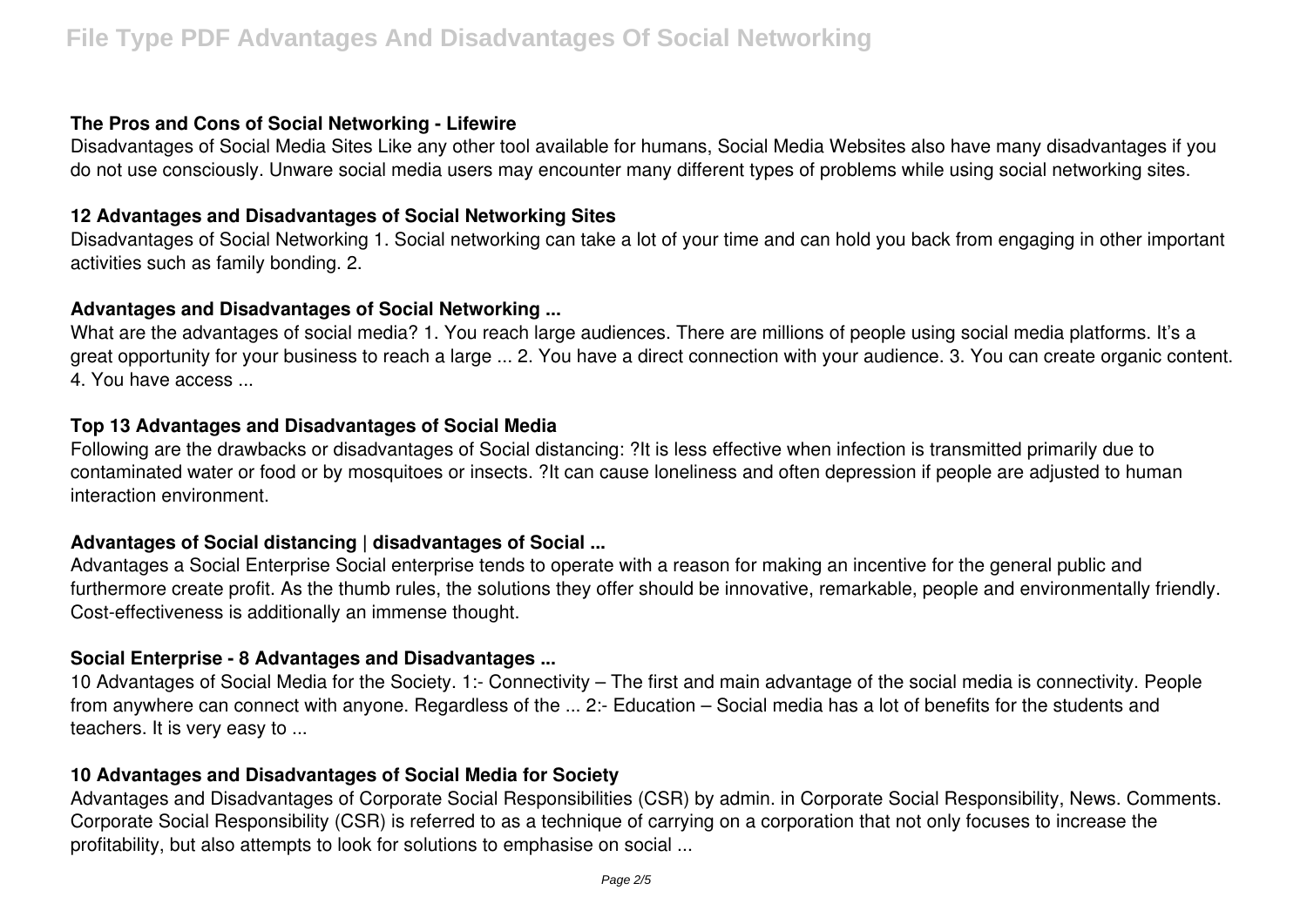### **The Pros and Cons of Social Networking - Lifewire**

Disadvantages of Social Media Sites Like any other tool available for humans, Social Media Websites also have many disadvantages if you do not use consciously. Unware social media users may encounter many different types of problems while using social networking sites.

## **12 Advantages and Disadvantages of Social Networking Sites**

Disadvantages of Social Networking 1. Social networking can take a lot of your time and can hold you back from engaging in other important activities such as family bonding. 2.

## **Advantages and Disadvantages of Social Networking ...**

What are the advantages of social media? 1. You reach large audiences. There are millions of people using social media platforms. It's a great opportunity for your business to reach a large ... 2. You have a direct connection with your audience. 3. You can create organic content. 4. You have access ...

## **Top 13 Advantages and Disadvantages of Social Media**

Following are the drawbacks or disadvantages of Social distancing: ?It is less effective when infection is transmitted primarily due to contaminated water or food or by mosquitoes or insects. ?It can cause loneliness and often depression if people are adjusted to human interaction environment.

# **Advantages of Social distancing | disadvantages of Social ...**

Advantages a Social Enterprise Social enterprise tends to operate with a reason for making an incentive for the general public and furthermore create profit. As the thumb rules, the solutions they offer should be innovative, remarkable, people and environmentally friendly. Cost-effectiveness is additionally an immense thought.

#### **Social Enterprise - 8 Advantages and Disadvantages ...**

10 Advantages of Social Media for the Society. 1:- Connectivity – The first and main advantage of the social media is connectivity. People from anywhere can connect with anyone. Regardless of the ... 2:- Education – Social media has a lot of benefits for the students and teachers. It is very easy to ...

#### **10 Advantages and Disadvantages of Social Media for Society**

Advantages and Disadvantages of Corporate Social Responsibilities (CSR) by admin. in Corporate Social Responsibility, News. Comments. Corporate Social Responsibility (CSR) is referred to as a technique of carrying on a corporation that not only focuses to increase the profitability, but also attempts to look for solutions to emphasise on social ...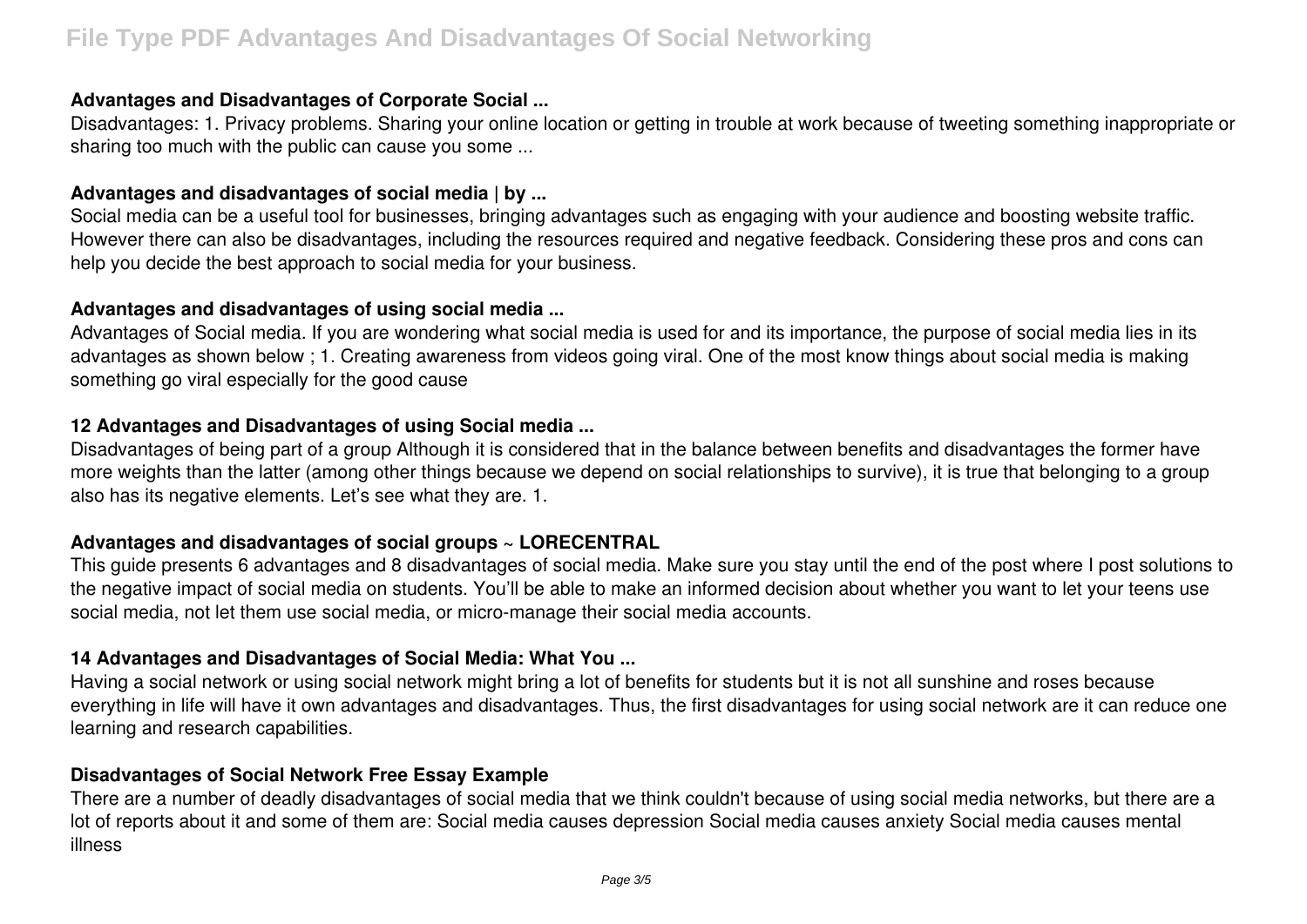## **Advantages and Disadvantages of Corporate Social ...**

Disadvantages: 1. Privacy problems. Sharing your online location or getting in trouble at work because of tweeting something inappropriate or sharing too much with the public can cause you some ...

### **Advantages and disadvantages of social media | by ...**

Social media can be a useful tool for businesses, bringing advantages such as engaging with your audience and boosting website traffic. However there can also be disadvantages, including the resources required and negative feedback. Considering these pros and cons can help you decide the best approach to social media for your business.

## **Advantages and disadvantages of using social media ...**

Advantages of Social media. If you are wondering what social media is used for and its importance, the purpose of social media lies in its advantages as shown below ; 1. Creating awareness from videos going viral. One of the most know things about social media is making something go viral especially for the good cause

# **12 Advantages and Disadvantages of using Social media ...**

Disadvantages of being part of a group Although it is considered that in the balance between benefits and disadvantages the former have more weights than the latter (among other things because we depend on social relationships to survive), it is true that belonging to a group also has its negative elements. Let's see what they are. 1.

# **Advantages and disadvantages of social groups ~ LORECENTRAL**

This guide presents 6 advantages and 8 disadvantages of social media. Make sure you stay until the end of the post where I post solutions to the negative impact of social media on students. You'll be able to make an informed decision about whether you want to let your teens use social media, not let them use social media, or micro-manage their social media accounts.

# **14 Advantages and Disadvantages of Social Media: What You ...**

Having a social network or using social network might bring a lot of benefits for students but it is not all sunshine and roses because everything in life will have it own advantages and disadvantages. Thus, the first disadvantages for using social network are it can reduce one learning and research capabilities.

# **Disadvantages of Social Network Free Essay Example**

There are a number of deadly disadvantages of social media that we think couldn't because of using social media networks, but there are a lot of reports about it and some of them are: Social media causes depression Social media causes anxiety Social media causes mental illness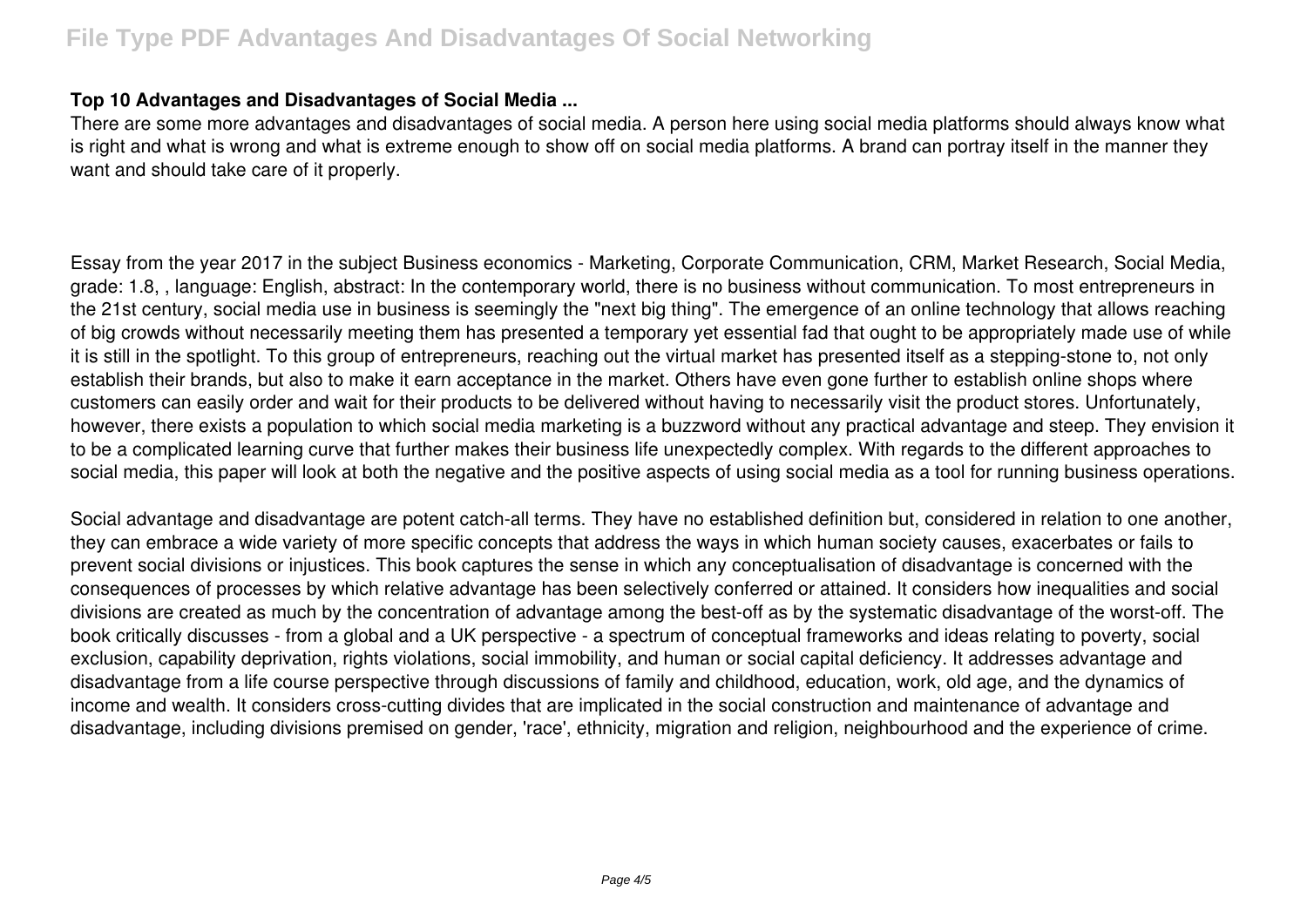## **Top 10 Advantages and Disadvantages of Social Media ...**

There are some more advantages and disadvantages of social media. A person here using social media platforms should always know what is right and what is wrong and what is extreme enough to show off on social media platforms. A brand can portray itself in the manner they want and should take care of it properly.

Essay from the year 2017 in the subject Business economics - Marketing, Corporate Communication, CRM, Market Research, Social Media, grade: 1.8, , language: English, abstract: In the contemporary world, there is no business without communication. To most entrepreneurs in the 21st century, social media use in business is seemingly the "next big thing". The emergence of an online technology that allows reaching of big crowds without necessarily meeting them has presented a temporary yet essential fad that ought to be appropriately made use of while it is still in the spotlight. To this group of entrepreneurs, reaching out the virtual market has presented itself as a stepping-stone to, not only establish their brands, but also to make it earn acceptance in the market. Others have even gone further to establish online shops where customers can easily order and wait for their products to be delivered without having to necessarily visit the product stores. Unfortunately, however, there exists a population to which social media marketing is a buzzword without any practical advantage and steep. They envision it to be a complicated learning curve that further makes their business life unexpectedly complex. With regards to the different approaches to social media, this paper will look at both the negative and the positive aspects of using social media as a tool for running business operations.

Social advantage and disadvantage are potent catch-all terms. They have no established definition but, considered in relation to one another, they can embrace a wide variety of more specific concepts that address the ways in which human society causes, exacerbates or fails to prevent social divisions or injustices. This book captures the sense in which any conceptualisation of disadvantage is concerned with the consequences of processes by which relative advantage has been selectively conferred or attained. It considers how inequalities and social divisions are created as much by the concentration of advantage among the best-off as by the systematic disadvantage of the worst-off. The book critically discusses - from a global and a UK perspective - a spectrum of conceptual frameworks and ideas relating to poverty, social exclusion, capability deprivation, rights violations, social immobility, and human or social capital deficiency. It addresses advantage and disadvantage from a life course perspective through discussions of family and childhood, education, work, old age, and the dynamics of income and wealth. It considers cross-cutting divides that are implicated in the social construction and maintenance of advantage and disadvantage, including divisions premised on gender, 'race', ethnicity, migration and religion, neighbourhood and the experience of crime.